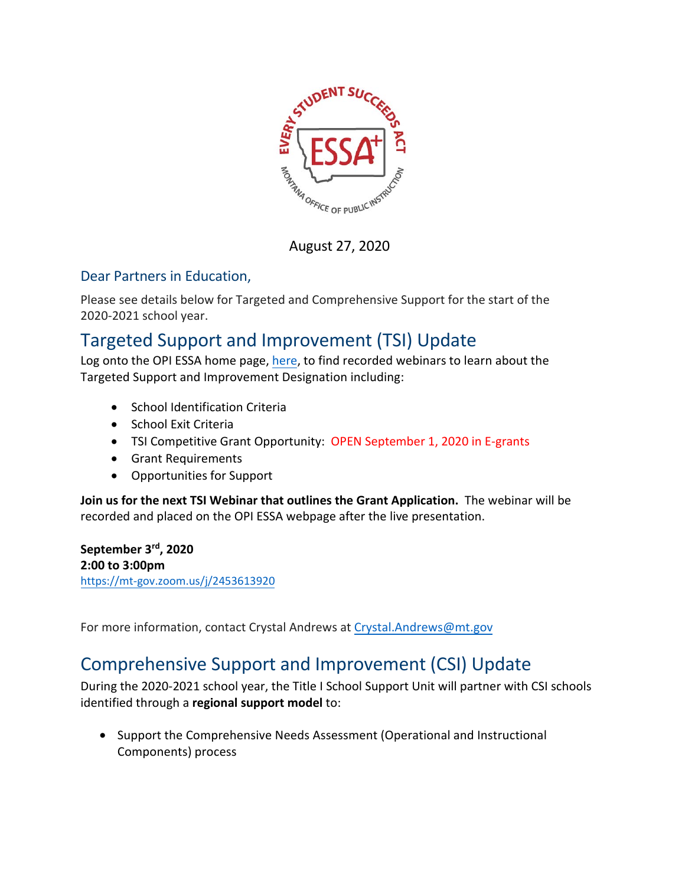

August 27, 2020

## Dear Partners in Education,

Please see details below for Targeted and Comprehensive Support for the start of the 2020-2021 school year.

## Targeted Support and Improvement (TSI) Update

Log onto the OPI ESSA home page, [here,](http://opi.mt.gov/Leadership/Academic-Success/Every-Student-Succeeds-Act-ESSA/Targeted-Support) to find recorded webinars to learn about the Targeted Support and Improvement Designation including:

- School Identification Criteria
- School Exit Criteria
- TSI Competitive Grant Opportunity: OPEN September 1, 2020 in E-grants
- Grant Requirements
- Opportunities for Support

**Join us for the next TSI Webinar that outlines the Grant Application.** The webinar will be recorded and placed on the OPI ESSA webpage after the live presentation.

**September 3rd , 2020 2:00 to 3:00pm** https://mt-gov.zoom.us/j/2453613920

[For more information, contact](https://mt-gov.zoom.us/j/2453613920) Crystal Andrews at Crystal.Andrews@mt.gov

## Comprehensive Support and Imp[rovement](mailto:Crystal.Andrews@mt.gov) (CSI) Update

During the 2020-2021 school year, the Title I School Support Unit will partner with CSI schools identified through a **regional support model** to:

• Support the Comprehensive Needs Assessment (Operational and Instructional Components) process